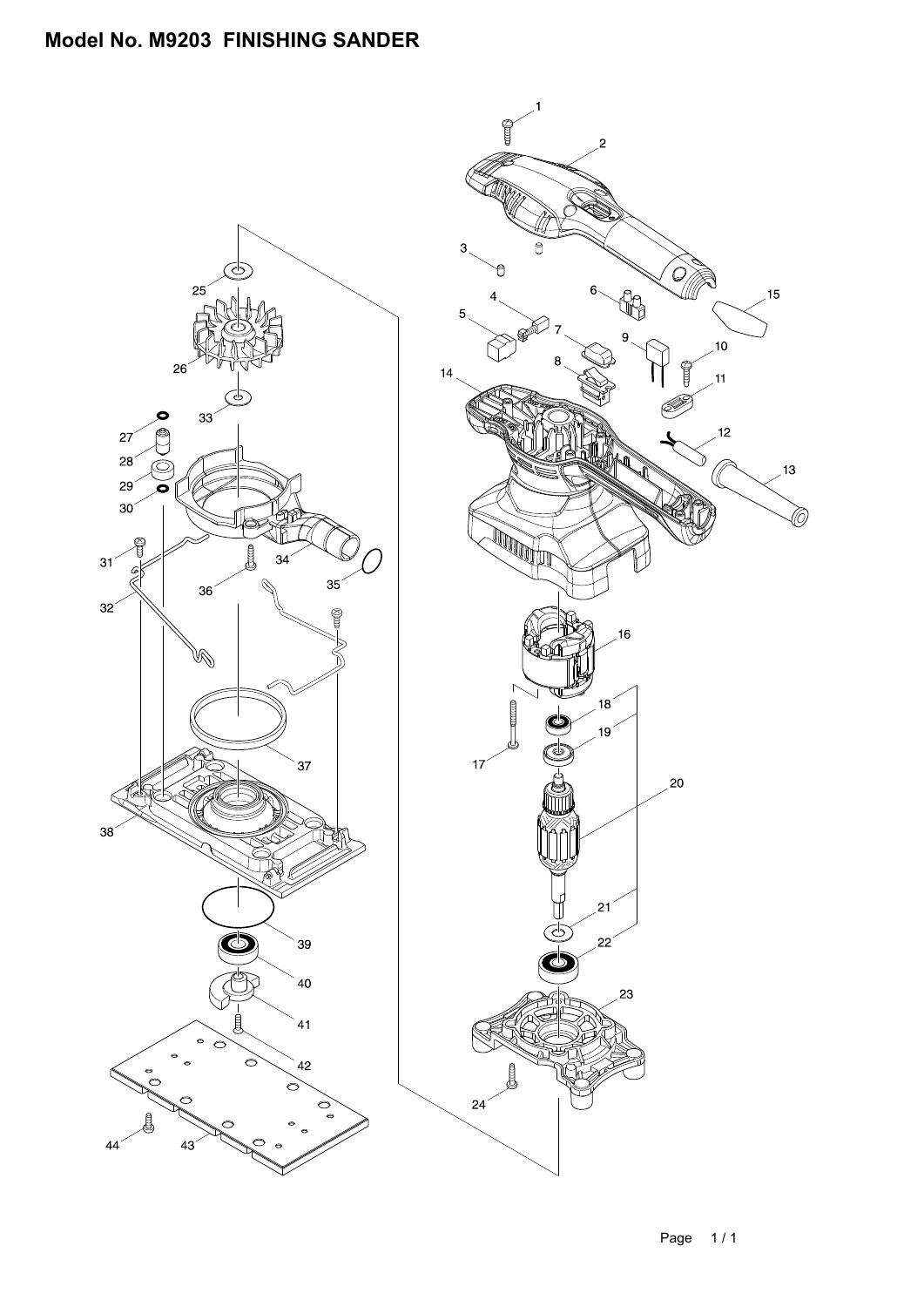## **Model No. M9203 FINISHING SANDER**

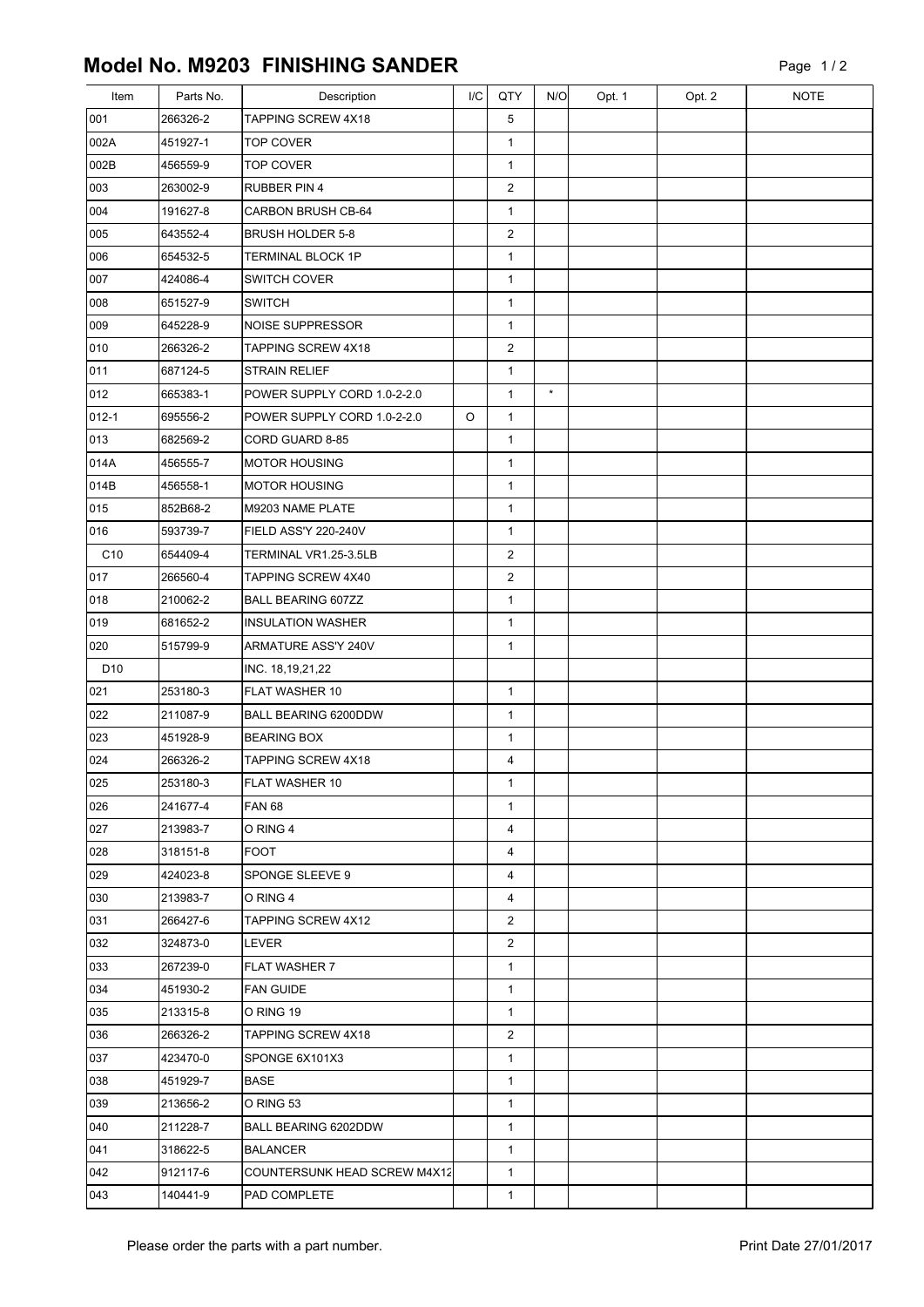## **Model No. M9203 FINISHING SANDER**

| Item            | Parts No. | Description                  | I/C | QTY            | N/O     | Opt. 1 | Opt. 2 | <b>NOTE</b> |
|-----------------|-----------|------------------------------|-----|----------------|---------|--------|--------|-------------|
| 001             | 266326-2  | TAPPING SCREW 4X18           |     | 5              |         |        |        |             |
| 002A            | 451927-1  | <b>TOP COVER</b>             |     | $\mathbf{1}$   |         |        |        |             |
| 002B            | 456559-9  | <b>TOP COVER</b>             |     | $\mathbf{1}$   |         |        |        |             |
| 003             | 263002-9  | <b>RUBBER PIN 4</b>          |     | 2              |         |        |        |             |
| 004             | 191627-8  | <b>CARBON BRUSH CB-64</b>    |     | $\mathbf{1}$   |         |        |        |             |
| 005             | 643552-4  | <b>BRUSH HOLDER 5-8</b>      |     | $\overline{2}$ |         |        |        |             |
| 006             | 654532-5  | <b>TERMINAL BLOCK 1P</b>     |     | $\mathbf{1}$   |         |        |        |             |
| 007             | 424086-4  | <b>SWITCH COVER</b>          |     | $\mathbf{1}$   |         |        |        |             |
| 008             | 651527-9  | <b>SWITCH</b>                |     | $\mathbf{1}$   |         |        |        |             |
| 009             | 645228-9  | <b>NOISE SUPPRESSOR</b>      |     | $\mathbf{1}$   |         |        |        |             |
| 010             | 266326-2  | TAPPING SCREW 4X18           |     | $\overline{2}$ |         |        |        |             |
| 011             | 687124-5  | <b>STRAIN RELIEF</b>         |     | $\mathbf{1}$   |         |        |        |             |
| 012             | 665383-1  | POWER SUPPLY CORD 1.0-2-2.0  |     | $\mathbf{1}$   | $\star$ |        |        |             |
| 012-1           | 695556-2  | POWER SUPPLY CORD 1.0-2-2.0  | O   | $\mathbf{1}$   |         |        |        |             |
| 013             | 682569-2  | CORD GUARD 8-85              |     | $\mathbf{1}$   |         |        |        |             |
| 014A            | 456555-7  | <b>IMOTOR HOUSING</b>        |     | $\mathbf{1}$   |         |        |        |             |
| 014B            | 456558-1  | MOTOR HOUSING                |     | $\mathbf{1}$   |         |        |        |             |
| 015             | 852B68-2  | M9203 NAME PLATE             |     | $\mathbf{1}$   |         |        |        |             |
| 016             | 593739-7  | FIELD ASS'Y 220-240V         |     | $\mathbf{1}$   |         |        |        |             |
| C10             | 654409-4  | TERMINAL VR1.25-3.5LB        |     | $\overline{2}$ |         |        |        |             |
| 017             | 266560-4  | TAPPING SCREW 4X40           |     | $\overline{2}$ |         |        |        |             |
| 018             | 210062-2  | <b>BALL BEARING 607ZZ</b>    |     | $\mathbf{1}$   |         |        |        |             |
| 019             | 681652-2  | <b>INSULATION WASHER</b>     |     | $\mathbf{1}$   |         |        |        |             |
| 020             | 515799-9  | ARMATURE ASS'Y 240V          |     | $\mathbf{1}$   |         |        |        |             |
| D <sub>10</sub> |           | INC. 18,19,21,22             |     |                |         |        |        |             |
| 021             | 253180-3  | FLAT WASHER 10               |     | $\mathbf{1}$   |         |        |        |             |
| 022             | 211087-9  | BALL BEARING 6200DDW         |     | $\mathbf{1}$   |         |        |        |             |
| 023             | 451928-9  | <b>BEARING BOX</b>           |     | $\mathbf{1}$   |         |        |        |             |
| 024             | 266326-2  | TAPPING SCREW 4X18           |     | 4              |         |        |        |             |
| 025             | 253180-3  | FLAT WASHER 10               |     | 1              |         |        |        |             |
| 026             | 241677-4  | FAN 68                       |     | $\mathbf{1}$   |         |        |        |             |
| 027             | 213983-7  | O RING 4                     |     | $\overline{4}$ |         |        |        |             |
| 028             | 318151-8  | <b>FOOT</b>                  |     | $\overline{4}$ |         |        |        |             |
| 029             | 424023-8  | SPONGE SLEEVE 9              |     | 4              |         |        |        |             |
| 030             | 213983-7  | O RING 4                     |     | 4              |         |        |        |             |
| 031             | 266427-6  | TAPPING SCREW 4X12           |     | $\overline{2}$ |         |        |        |             |
| 032             | 324873-0  | LEVER                        |     | $\overline{2}$ |         |        |        |             |
| 033             | 267239-0  | FLAT WASHER 7                |     | $\mathbf{1}$   |         |        |        |             |
| 034             | 451930-2  | <b>FAN GUIDE</b>             |     | $\mathbf{1}$   |         |        |        |             |
| 035             | 213315-8  | O RING 19                    |     | $\mathbf{1}$   |         |        |        |             |
| 036             | 266326-2  | <b>TAPPING SCREW 4X18</b>    |     | 2              |         |        |        |             |
| 037             | 423470-0  | SPONGE 6X101X3               |     | $\mathbf{1}$   |         |        |        |             |
| 038             | 451929-7  | <b>BASE</b>                  |     | $\mathbf{1}$   |         |        |        |             |
| 039             | 213656-2  | O RING 53                    |     | $\mathbf{1}$   |         |        |        |             |
| 040             | 211228-7  | BALL BEARING 6202DDW         |     | $\mathbf{1}$   |         |        |        |             |
| 041             | 318622-5  | <b>BALANCER</b>              |     | $\mathbf{1}$   |         |        |        |             |
| 042             | 912117-6  | COUNTERSUNK HEAD SCREW M4X12 |     | $\mathbf 1$    |         |        |        |             |
| 043             | 140441-9  | PAD COMPLETE                 |     | $\mathbf{1}$   |         |        |        |             |